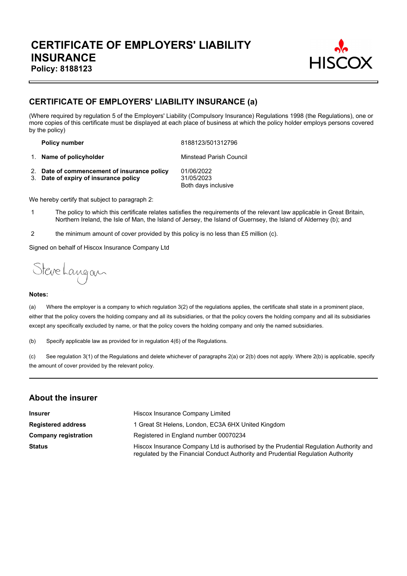

# **CERTIFICATE OF EMPLOYERS' LIABILITY INSURANCE (a)**

(Where required by regulation 5 of the Employers' Liability (Compulsory Insurance) Regulations 1998 (the Regulations), one or more copies of this certificate must be displayed at each place of business at which the policy holder employs persons covered by the policy)

**Policy number** 8188123/501312796

1. **Name of policyholder** Minstead Parish Council

2. **Date of commencement of insurance policy** 01/06/2022 3. **Date of expiry of insurance policy** 31/05/2023 Both days inclusive

We hereby certify that subject to paragraph 2:

- 1 The policy to which this certificate relates satisfies the requirements of the relevant law applicable in Great Britain, Northern Ireland, the Isle of Man, the Island of Jersey, the Island of Guernsey, the Island of Alderney (b); and
- 2 the minimum amount of cover provided by this policy is no less than £5 million (c).

Signed on behalf of Hiscox Insurance Company Ltd

Steve Langan

#### **Notes:**

(a) Where the employer is a company to which regulation 3(2) of the regulations applies, the certificate shall state in a prominent place, either that the policy covers the holding company and all its subsidiaries, or that the policy covers the holding company and all its subsidiaries except any specifically excluded by name, or that the policy covers the holding company and only the named subsidiaries.

(b) Specify applicable law as provided for in regulation 4(6) of the Regulations.

(c) See regulation 3(1) of the Regulations and delete whichever of paragraphs 2(a) or 2(b) does not apply. Where 2(b) is applicable, specify the amount of cover provided by the relevant policy.

#### **About the insurer**

| <b>Insurer</b>              | Hiscox Insurance Company Limited                                                                                                                                          |  |  |
|-----------------------------|---------------------------------------------------------------------------------------------------------------------------------------------------------------------------|--|--|
| <b>Registered address</b>   | 1 Great St Helens, London, EC3A 6HX United Kingdom                                                                                                                        |  |  |
| <b>Company registration</b> | Registered in England number 00070234                                                                                                                                     |  |  |
| <b>Status</b>               | Hiscox Insurance Company Ltd is authorised by the Prudential Regulation Authority and<br>regulated by the Financial Conduct Authority and Prudential Regulation Authority |  |  |